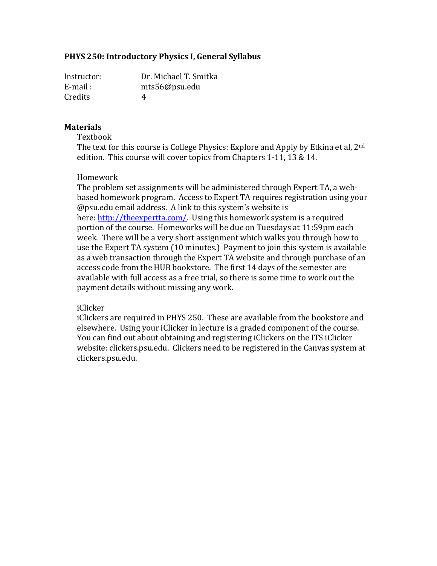## **PHYS 250: Introductory Physics I, General Syllabus**

Instructor: Dr. Michael T. Smitka E-mail : [mts56@psu.edu](mailto:mts56@psu.edu) Credits 4

### **Materials**

Textbook

The text for this course is College Physics: Explore and Apply by Etkina et al, 2nd edition. This course will cover topics from Chapters 1-11, 13 & 14.

#### Homework

The problem set assignments will be administered through Expert TA, a webbased homework program. Access to Expert TA requires registration using your @psu.edu email address. A link to this system's website is here: [http://theexpertta.com/.](http://theexpertta.com/) Using this homework system is a required portion of the course. Homeworks will be due on Tuesdays at 11:59pm each week. There will be a very short assignment which walks you through how to use the Expert TA system (10 minutes.) Payment to join this system is available as a web transaction through the Expert TA website and through purchase of an access code from the HUB bookstore. The first 14 days of the semester are available with full access as a free trial, so there is some time to work out the payment details without missing any work.

### iClicker

iClickers are required in PHYS 250. These are available from the bookstore and elsewhere. Using your iClicker in lecture is a graded component of the course. You can find out about obtaining and registering iClickers on the ITS iClicker website: clickers.psu.edu. Clickers need to be registered in the Canvas system at clickers.psu.edu.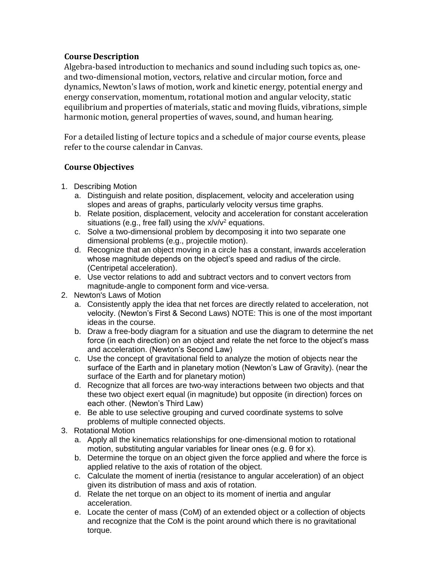## **Course Description**

Algebra-based introduction to mechanics and sound including such topics as, oneand two-dimensional motion, vectors, relative and circular motion, force and dynamics, Newton's laws of motion, work and kinetic energy, potential energy and energy conservation, momentum, rotational motion and angular velocity, static equilibrium and properties of materials, static and moving fluids, vibrations, simple harmonic motion, general properties of waves, sound, and human hearing.

For a detailed listing of lecture topics and a schedule of major course events, please refer to the course calendar in Canvas.

# **Course Objectives**

- 1. Describing Motion
	- a. Distinguish and relate position, displacement, velocity and acceleration using slopes and areas of graphs, particularly velocity versus time graphs.
	- b. Relate position, displacement, velocity and acceleration for constant acceleration situations (e.g., free fall) using the  $x/v/v^2$  equations.
	- c. Solve a two-dimensional problem by decomposing it into two separate one dimensional problems (e.g., projectile motion).
	- d. Recognize that an object moving in a circle has a constant, inwards acceleration whose magnitude depends on the object's speed and radius of the circle. (Centripetal acceleration).
	- e. Use vector relations to add and subtract vectors and to convert vectors from magnitude-angle to component form and vice-versa.
- 2. Newton's Laws of Motion
	- a. Consistently apply the idea that net forces are directly related to acceleration, not velocity. (Newton's First & Second Laws) NOTE: This is one of the most important ideas in the course.
	- b. Draw a free-body diagram for a situation and use the diagram to determine the net force (in each direction) on an object and relate the net force to the object's mass and acceleration. (Newton's Second Law)
	- c. Use the concept of gravitational field to analyze the motion of objects near the surface of the Earth and in planetary motion (Newton's Law of Gravity). (near the surface of the Earth and for planetary motion)
	- d. Recognize that all forces are two-way interactions between two objects and that these two object exert equal (in magnitude) but opposite (in direction) forces on each other. (Newton's Third Law)
	- e. Be able to use selective grouping and curved coordinate systems to solve problems of multiple connected objects.
- 3. Rotational Motion
	- a. Apply all the kinematics relationships for one-dimensional motion to rotational motion, substituting angular variables for linear ones (e.g. θ for x).
	- b. Determine the torque on an object given the force applied and where the force is applied relative to the axis of rotation of the object.
	- c. Calculate the moment of inertia (resistance to angular acceleration) of an object given its distribution of mass and axis of rotation.
	- d. Relate the net torque on an object to its moment of inertia and angular acceleration.
	- e. Locate the center of mass (CoM) of an extended object or a collection of objects and recognize that the CoM is the point around which there is no gravitational torque.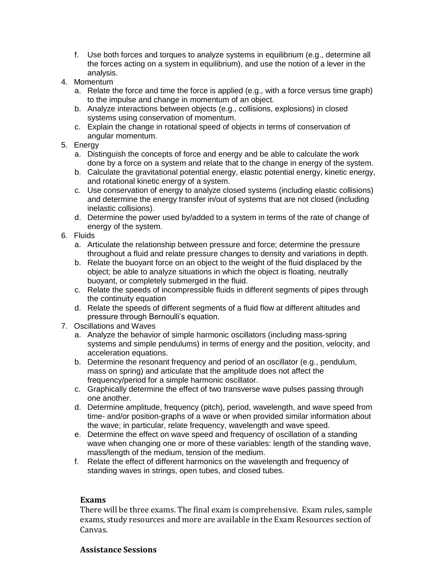- f. Use both forces and torques to analyze systems in equilibrium (e.g., determine all the forces acting on a system in equilibrium), and use the notion of a lever in the analysis.
- 4. Momentum
	- a. Relate the force and time the force is applied (e.g., with a force versus time graph) to the impulse and change in momentum of an object.
	- b. Analyze interactions between objects (e.g., collisions, explosions) in closed systems using conservation of momentum.
	- c. Explain the change in rotational speed of objects in terms of conservation of angular momentum.
- 5. Energy
	- a. Distinguish the concepts of force and energy and be able to calculate the work done by a force on a system and relate that to the change in energy of the system.
	- b. Calculate the gravitational potential energy, elastic potential energy, kinetic energy, and rotational kinetic energy of a system.
	- c. Use conservation of energy to analyze closed systems (including elastic collisions) and determine the energy transfer in/out of systems that are not closed (including inelastic collisions).
	- d. Determine the power used by/added to a system in terms of the rate of change of energy of the system.
- 6. Fluids
	- a. Articulate the relationship between pressure and force; determine the pressure throughout a fluid and relate pressure changes to density and variations in depth.
	- b. Relate the buoyant force on an object to the weight of the fluid displaced by the object; be able to analyze situations in which the object is floating, neutrally buoyant, or completely submerged in the fluid.
	- c. Relate the speeds of incompressible fluids in different segments of pipes through the continuity equation
	- d. Relate the speeds of different segments of a fluid flow at different altitudes and pressure through Bernoulli's equation.
- 7. Oscillations and Waves
	- a. Analyze the behavior of simple harmonic oscillators (including mass-spring systems and simple pendulums) in terms of energy and the position, velocity, and acceleration equations.
	- b. Determine the resonant frequency and period of an oscillator (e.g., pendulum, mass on spring) and articulate that the amplitude does not affect the frequency/period for a simple harmonic oscillator.
	- c. Graphically determine the effect of two transverse wave pulses passing through one another.
	- d. Determine amplitude, frequency (pitch), period, wavelength, and wave speed from time- and/or position-graphs of a wave or when provided similar information about the wave; in particular, relate frequency, wavelength and wave speed.
	- e. Determine the effect on wave speed and frequency of oscillation of a standing wave when changing one or more of these variables: length of the standing wave, mass/length of the medium, tension of the medium.
	- f. Relate the effect of different harmonics on the wavelength and frequency of standing waves in strings, open tubes, and closed tubes.

### **Exams**

There will be three exams. The final exam is comprehensive. Exam rules, sample exams, study resources and more are available in the Exam Resources section of Canvas.

### **Assistance Sessions**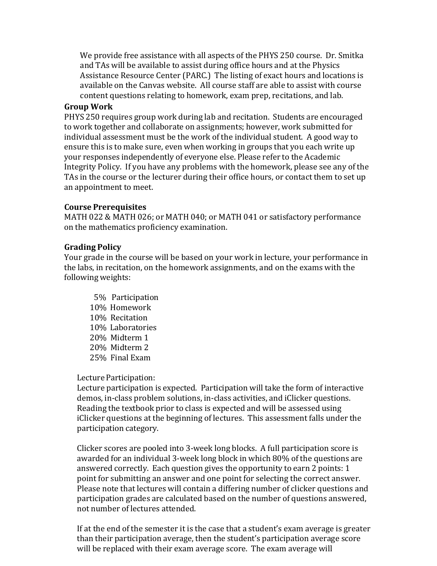We provide free assistance with all aspects of the PHYS 250 course. Dr. Smitka and TAs will be available to assist during office hours and at the Physics Assistance Resource Center (PARC.) The listing of exact hours and locations is available on the Canvas website. All course staff are able to assist with course content questions relating to homework, exam prep, recitations, and lab.

### **Group Work**

PHYS 250 requires group work during lab and recitation. Students are encouraged to work together and collaborate on assignments; however, work submitted for individual assessment must be the work of the individual student. A good way to ensure this is to make sure, even when working in groups that you each write up your responses independently of everyone else. Please refer to the Academic Integrity Policy. If you have any problems with the homework, please see any of the TAs in the course or the lecturer during their office hours, or contact them to set up an appointment to meet.

## **Course Prerequisites**

MATH 022 & MATH 026; or MATH 040; or MATH 041 or satisfactory performance on the mathematics proficiency examination.

## **Grading Policy**

Your grade in the course will be based on your work in lecture, your performance in the labs, in recitation, on the homework assignments, and on the exams with the following weights:

5% Participation 10% Homework 10% Recitation 10% Laboratories 20% Midterm 1 20% Midterm 2 25% Final Exam

Lecture Participation:

Lecture participation is expected. Participation will take the form of interactive demos, in-class problem solutions, in-class activities, and iClicker questions. Reading the textbook prior to class is expected and will be assessed using iClicker questions at the beginning of lectures. This assessment falls under the participation category.

Clicker scores are pooled into 3-week long blocks. A full participation score is awarded for an individual 3-week long block in which 80% of the questions are answered correctly. Each question gives the opportunity to earn 2 points: 1 point for submitting an answer and one point for selecting the correct answer. Please note that lectures will contain a differing number of clicker questions and participation grades are calculated based on the number of questions answered, not number of lectures attended.

If at the end of the semester it is the case that a student's exam average is greater than their participation average, then the student's participation average score will be replaced with their exam average score. The exam average will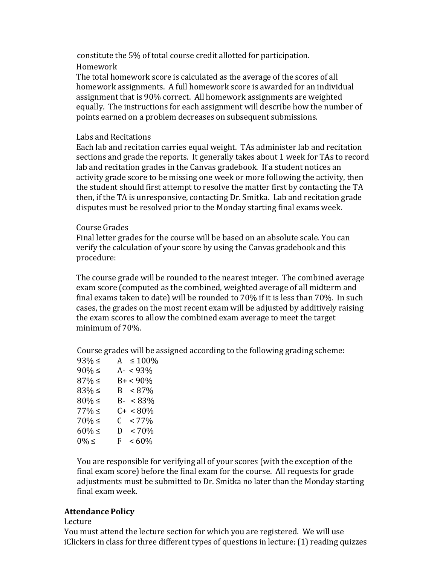constitute the 5% of total course credit allotted for participation.

## Homework

The total homework score is calculated as the average of the scores of all homework assignments. A full homework score is awarded for an individual assignment that is 90% correct. All homework assignments are weighted equally. The instructions for each assignment will describe how the number of points earned on a problem decreases on subsequent submissions.

## Labs and Recitations

Each lab and recitation carries equal weight. TAs administer lab and recitation sections and grade the reports. It generally takes about 1 week for TAs to record lab and recitation grades in the Canvas gradebook. If a student notices an activity grade score to be missing one week or more following the activity, then the student should first attempt to resolve the matter first by contacting the TA then, if the TA is unresponsive, contacting Dr. Smitka. Lab and recitation grade disputes must be resolved prior to the Monday starting final exams week.

## CourseGrades

Final letter grades for the course will be based on an absolute scale. You can verify the calculation of your score by using the Canvas gradebook and this procedure:

The course grade will be rounded to the nearest integer. The combined average exam score (computed as the combined, weighted average of all midterm and final exams taken to date) will be rounded to 70% if it is less than 70%. In such cases, the grades on the most recent exam will be adjusted by additively raising the exam scores to allow the combined exam average to meet the target minimum of 70%.

Course grades will be assigned according to the following grading scheme:

| $93%$ ≤     | A $\leq 100\%$             |
|-------------|----------------------------|
| $90\% \leq$ | $A - 93\%$                 |
| 87% ≤       | $B+ < 90\%$                |
| 83% ≤       | $B < 87\%$                 |
| $80\% \leq$ | $B- < 83\%$                |
| 77% ≤       | $C + < 80\%$               |
| 70% ≤       | $< 77\%$<br>$\mathsf{C}^-$ |
| $60\% \leq$ | $~< 70\%$<br>D             |
| $0\% \leq$  | $<60\%$<br>F.              |
|             |                            |

You are responsible for verifying all of your scores (with the exception of the final exam score) before the final exam for the course. All requests for grade adjustments must be submitted to Dr. Smitka no later than the Monday starting final exam week.

# **Attendance Policy**

## Lecture

You must attend the lecture section for which you are registered. We will use iClickers in class for three different types of questions in lecture: (1) reading quizzes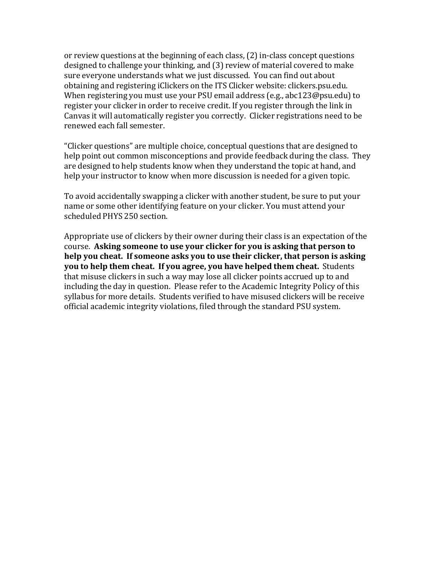or review questions at the beginning of each class, (2) in-class concept questions designed to challenge your thinking, and (3) review of material covered to make sure everyone understands what we just discussed. You can find out about obtaining and registering iClickers on the ITS Clicker website: clickers.psu.edu. When registering you must use your PSU email address (e.g., abc123@psu.edu) to register your clicker in order to receive credit. If you register through the link in Canvas it will automatically register you correctly. Clicker registrations need to be renewed each fall semester.

"Clicker questions" are multiple choice, conceptual questions that are designed to help point out common misconceptions and provide feedback during the class. They are designed to help students know when they understand the topic at hand, and help your instructor to know when more discussion is needed for a given topic.

To avoid accidentally swapping a clicker with another student, be sure to put your name or some other identifying feature on your clicker. You must attend your scheduled PHYS 250 section.

Appropriate use of clickers by their owner during their class is an expectation of the course. **Asking someone to use your clicker for you is asking that person to help you cheat. If someone asks you to use their clicker, that person is asking you to help them cheat. If you agree, you have helped them cheat.** Students that misuse clickers in such a way may lose all clicker points accrued up to and including the day in question. Please refer to the Academic Integrity Policy of this syllabus for more details. Students verified to have misused clickers will be receive official academic integrity violations, filed through the standard PSU system.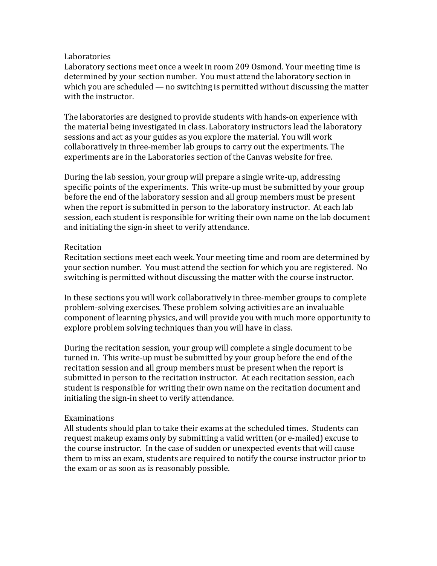### **Laboratories**

Laboratory sections meet once a week in room 209 Osmond. Your meeting time is determined by your section number. You must attend the laboratory section in which you are scheduled — no switching is permitted without discussing the matter with the instructor.

The laboratories are designed to provide students with hands-on experience with the material being investigated in class. Laboratory instructors lead the laboratory sessions and act as your guides as you explore the material. You will work collaboratively in three-member lab groups to carry out the experiments. The experiments are in the Laboratories section of the Canvas website for free.

During the lab session, your group will prepare a single write-up, addressing specific points of the experiments. This write-up must be submitted by your group before the end of the laboratory session and all group members must be present when the report is submitted in person to the laboratory instructor. At each lab session, each student is responsible for writing their own name on the lab document and initialing the sign-in sheet to verify attendance.

## **Recitation**

Recitation sections meet each week. Your meeting time and room are determined by your section number. You must attend the section for which you are registered. No switching is permitted without discussing the matter with the course instructor.

In these sections you will work collaboratively in three-member groups to complete problem-solving exercises. These problem solving activities are an invaluable component of learning physics, and will provide you with much more opportunity to explore problem solving techniques than you will have in class.

During the recitation session, your group will complete a single document to be turned in. This write-up must be submitted by your group before the end of the recitation session and all group members must be present when the report is submitted in person to the recitation instructor. At each recitation session, each student is responsible for writing their own name on the recitation document and initialing the sign-in sheet to verify attendance.

### Examinations

All students should plan to take their exams at the scheduled times. Students can request makeup exams only by submitting a valid written (or e-mailed) excuse to the course instructor. In the case of sudden or unexpected events that will cause them to miss an exam, students are required to notify the course instructor prior to the exam or as soon as is reasonably possible.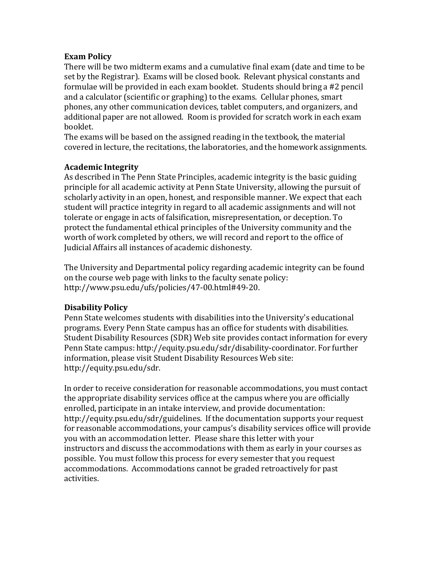## **Exam Policy**

There will be two midterm exams and a cumulative final exam (date and time to be set by the Registrar). Exams will be closed book. Relevant physical constants and formulae will be provided in each exam booklet. Students should bring a #2 pencil and a calculator (scientific or graphing) to the exams. Cellular phones, smart phones, any other communication devices, tablet computers, and organizers, and additional paper are not allowed. Room is provided for scratch work in each exam booklet.

The exams will be based on the assigned reading in the textbook, the material covered in lecture, the recitations, the laboratories, and the homework assignments.

## **Academic Integrity**

As described in The Penn State Principles, academic integrity is the basic guiding principle for all academic activity at Penn State University, allowing the pursuit of scholarly activity in an open, honest, and responsible manner. We expect that each student will practice integrity in regard to all academic assignments and will not tolerate or engage in acts of falsification, misrepresentation, or deception. To protect the fundamental ethical principles of the University community and the worth of work completed by others, we will record and report to the office of Judicial Affairs all instances of academic dishonesty.

The University and Departmental policy regarding academic integrity can be found on the course web page with links to the faculty senate policy: [http://www.psu.edu/ufs/policies/47-00.html#49-20.](http://www.psu.edu/ufs/policies/47-00.html#49-20)

# **Disability Policy**

Penn State welcomes students with disabilities into the University's educational programs. Every Penn State campus has an office for students with disabilities. Student Disability Resources (SDR) Web site provides contact information for every Penn State campus: [http://equity.psu.edu/sdr/disability-coordinator.](http://equity.psu.edu/sdr/disability-coordinator) For further information, please visit Student Disability Resources Web site: [http://equity.psu.edu/sdr.](http://equity.psu.edu/sdr)

In order to receive consideration for reasonable accommodations, you must contact the appropriate disability services office at the campus where you are officially enrolled, participate in an intake interview, and provide documentation: [http://equity.psu.edu/sdr/guidelines.](http://equity.psu.edu/sdr/guidelines) If the documentation supports your request for reasonable accommodations, your campus's disability services office will provide you with an accommodation letter. Please share this letter with your instructors and discuss the accommodations with them as early in your courses as possible. You must follow this process for every semester that you request accommodations. Accommodations cannot be graded retroactively for past activities.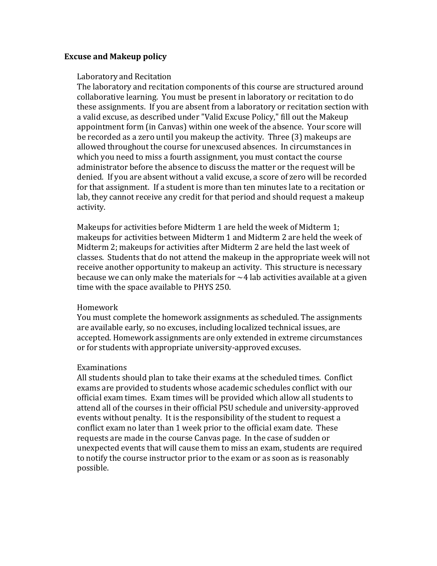### **Excuse and Makeup policy**

### Laboratory and Recitation

The laboratory and recitation components of this course are structured around collaborative learning. You must be present in laboratory or recitation to do these assignments. If you are absent from a laboratory or recitation section with a valid excuse, as described under "Valid Excuse Policy," fill out the Makeup appointment form (in Canvas) within one week of the absence. Your score will be recorded as a zero until you makeup the activity. Three (3) makeups are allowed throughout the course for unexcused absences. In circumstances in which you need to miss a fourth assignment, you must contact the course administrator before the absence to discuss the matter or the request will be denied. If you are absent without a valid excuse, a score of zero will be recorded for that assignment. If a student is more than ten minutes late to a recitation or lab, they cannot receive any credit for that period and should request a makeup activity.

Makeups for activities before Midterm 1 are held the week of Midterm 1; makeups for activities between Midterm 1 and Midterm 2 are held the week of Midterm 2; makeups for activities after Midterm 2 are held the last week of classes. Students that do not attend the makeup in the appropriate week will not receive another opportunity to makeup an activity. This structure is necessary because we can only make the materials for  $\sim$  4 lab activities available at a given time with the space available to PHYS 250.

### Homework

You must complete the homework assignments as scheduled. The assignments are available early, so no excuses, including localized technical issues, are accepted. Homework assignments are only extended in extreme circumstances or for students with appropriate university-approved excuses.

#### Examinations

All students should plan to take their exams at the scheduled times. Conflict exams are provided to students whose academic schedules conflict with our official exam times. Exam times will be provided which allow all students to attend all of the courses in their official PSU schedule and university-approved events without penalty. It is the responsibility of the student to request a conflict exam no later than 1 week prior to the official exam date. These requests are made in the course Canvas page. In the case of sudden or unexpected events that will cause them to miss an exam, students are required to notify the course instructor prior to the exam or as soon as is reasonably possible.